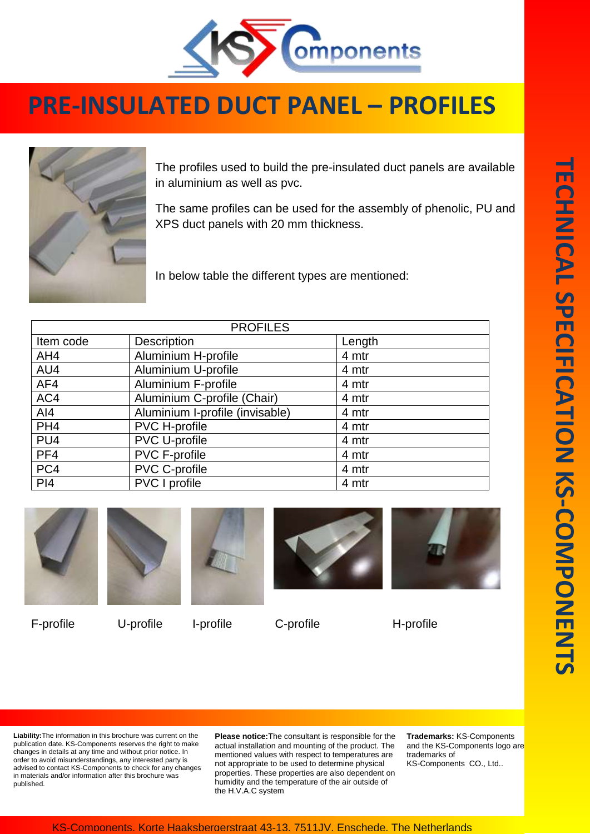

## **PRE-INSULATED DUCT PANEL – PROFILES**



The profiles used to build the pre-insulated duct panels are available in aluminium as well as pvc.

The same profiles can be used for the assembly of phenolic, PU and XPS duct panels with 20 mm thickness.

In below table the different types are mentioned:

| <b>PROFILES</b> |                                 |        |
|-----------------|---------------------------------|--------|
| Item code       | Description                     | Length |
| AH4             | Aluminium H-profile             | 4 mtr  |
| AU4             | Aluminium U-profile             | 4 mtr  |
| AF4             | <b>Aluminium F-profile</b>      | 4 mtr  |
| AC4             | Aluminium C-profile (Chair)     | 4 mtr  |
| AI4             | Aluminium I-profile (invisable) | 4 mtr  |
| PH <sub>4</sub> | PVC H-profile                   | 4 mtr  |
| PU <sub>4</sub> | <b>PVC U-profile</b>            | 4 mtr  |
| PF4             | PVC F-profile                   | 4 mtr  |
| PC4             | PVC C-profile                   | 4 mtr  |
| PI4             | <b>PVC</b> I profile            | 4 mtr  |



F-profile U-profile I-profile C-profile H-profile









**Liability:**The information in this brochure was current on the publication date. KS-Components reserves the right to make changes in details at any time and without prior notice. In order to avoid misunderstandings, any interested party is advised to contact KS-Components to check for any changes in materials and/or information after this brochure was published.

**Please notice:**The consultant is responsible for the actual installation and mounting of the product. The mentioned values with respect to temperatures are not appropriate to be used to determine physical properties. These properties are also dependent on humidity and the temperature of the air outside of the H.V.A.C system

**Trademarks:** KS-Components and the KS-Components logo are trademarks of KS-Components CO., Ltd..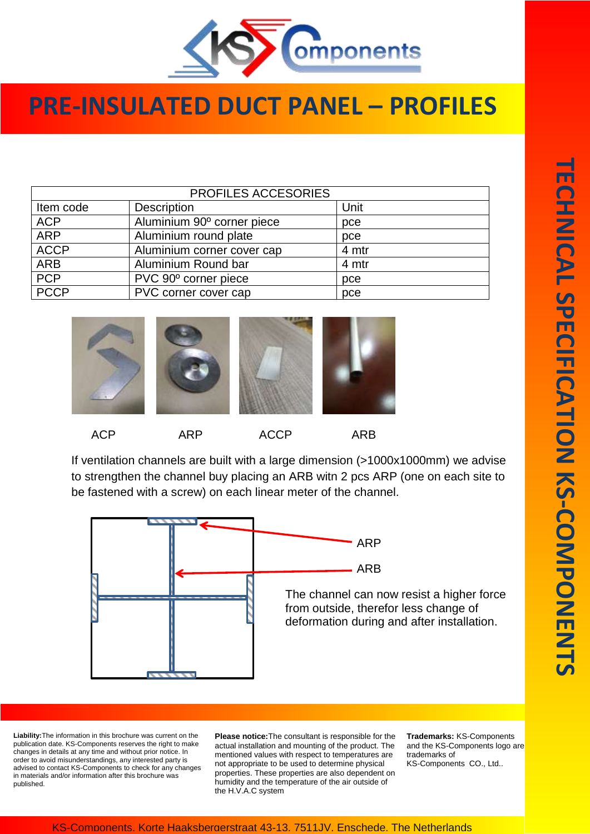

## **PRE-INSULATED DUCT PANEL – PROFILES**

| PROFILES ACCESORIES |                            |       |  |
|---------------------|----------------------------|-------|--|
|                     |                            |       |  |
| Item code           | <b>Description</b>         | Unit  |  |
| <b>ACP</b>          | Aluminium 90° corner piece | pce   |  |
| <b>ARP</b>          | Aluminium round plate      | pce   |  |
| <b>ACCP</b>         | Aluminium corner cover cap | 4 mtr |  |
| <b>ARB</b>          | Aluminium Round bar        | 4 mtr |  |
| <b>PCP</b>          | PVC 90° corner piece       | pce   |  |
| <b>PCCP</b>         | PVC corner cover cap       | pce   |  |



If ventilation channels are built with a large dimension (>1000x1000mm) we advise to strengthen the channel buy placing an ARB witn 2 pcs ARP (one on each site to be fastened with a screw) on each linear meter of the channel.



**Liability:**The information in this brochure was current on the publication date. KS-Components reserves the right to make changes in details at any time and without prior notice. In order to avoid misunderstandings, any interested party is advised to contact KS-Components to check for any changes in materials and/or information after this brochure was published.

**Please notice:**The consultant is responsible for the actual installation and mounting of the product. The mentioned values with respect to temperatures are not appropriate to be used to determine physical properties. These properties are also dependent on humidity and the temperature of the air outside of the H.V.A.C system

**Trademarks:** KS-Components and the KS-Components logo are trademarks of KS-Components CO., Ltd..